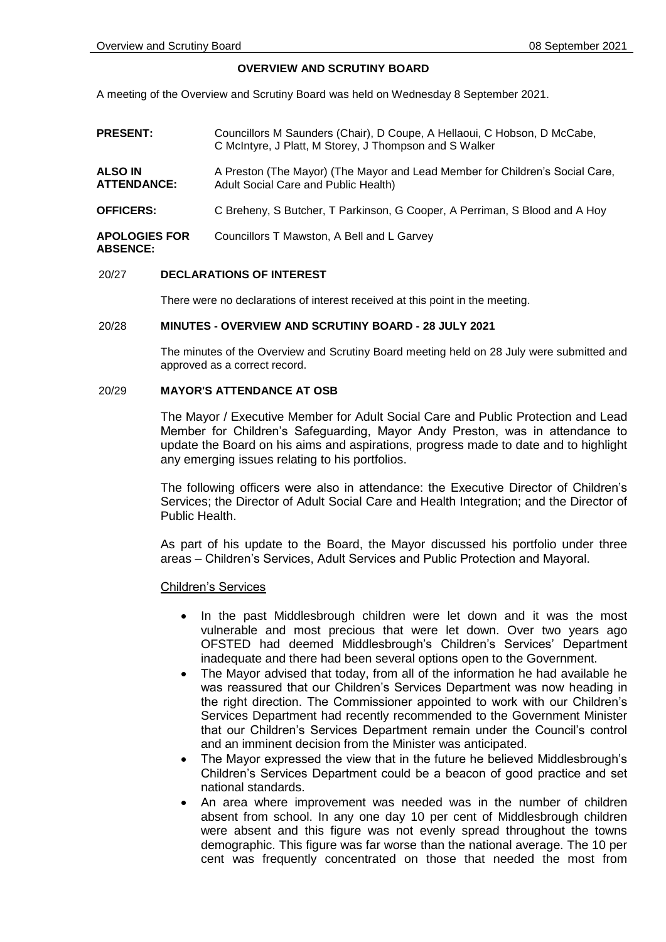# **OVERVIEW AND SCRUTINY BOARD**

A meeting of the Overview and Scrutiny Board was held on Wednesday 8 September 2021.

| <b>PRESENT:</b>                         | Councillors M Saunders (Chair), D Coupe, A Hellaoui, C Hobson, D McCabe,<br>C McIntyre, J Platt, M Storey, J Thompson and S Walker |
|-----------------------------------------|------------------------------------------------------------------------------------------------------------------------------------|
| ALSO IN<br><b>ATTENDANCE:</b>           | A Preston (The Mayor) (The Mayor and Lead Member for Children's Social Care,<br>Adult Social Care and Public Health)               |
| <b>OFFICERS:</b>                        | C Breheny, S Butcher, T Parkinson, G Cooper, A Perriman, S Blood and A Hoy                                                         |
| <b>APOLOGIES FOR</b><br><b>ABSENCE:</b> | Councillors T Mawston, A Bell and L Garvey                                                                                         |

### 20/27 **DECLARATIONS OF INTEREST**

There were no declarations of interest received at this point in the meeting.

## 20/28 **MINUTES - OVERVIEW AND SCRUTINY BOARD - 28 JULY 2021**

The minutes of the Overview and Scrutiny Board meeting held on 28 July were submitted and approved as a correct record.

# 20/29 **MAYOR'S ATTENDANCE AT OSB**

The Mayor / Executive Member for Adult Social Care and Public Protection and Lead Member for Children's Safeguarding, Mayor Andy Preston, was in attendance to update the Board on his aims and aspirations, progress made to date and to highlight any emerging issues relating to his portfolios.

The following officers were also in attendance: the Executive Director of Children's Services; the Director of Adult Social Care and Health Integration; and the Director of Public Health.

As part of his update to the Board, the Mayor discussed his portfolio under three areas – Children's Services, Adult Services and Public Protection and Mayoral.

### Children's Services

- In the past Middlesbrough children were let down and it was the most vulnerable and most precious that were let down. Over two years ago OFSTED had deemed Middlesbrough's Children's Services' Department inadequate and there had been several options open to the Government.
- The Mayor advised that today, from all of the information he had available he was reassured that our Children's Services Department was now heading in the right direction. The Commissioner appointed to work with our Children's Services Department had recently recommended to the Government Minister that our Children's Services Department remain under the Council's control and an imminent decision from the Minister was anticipated.
- The Mayor expressed the view that in the future he believed Middlesbrough's Children's Services Department could be a beacon of good practice and set national standards.
- An area where improvement was needed was in the number of children absent from school. In any one day 10 per cent of Middlesbrough children were absent and this figure was not evenly spread throughout the towns demographic. This figure was far worse than the national average. The 10 per cent was frequently concentrated on those that needed the most from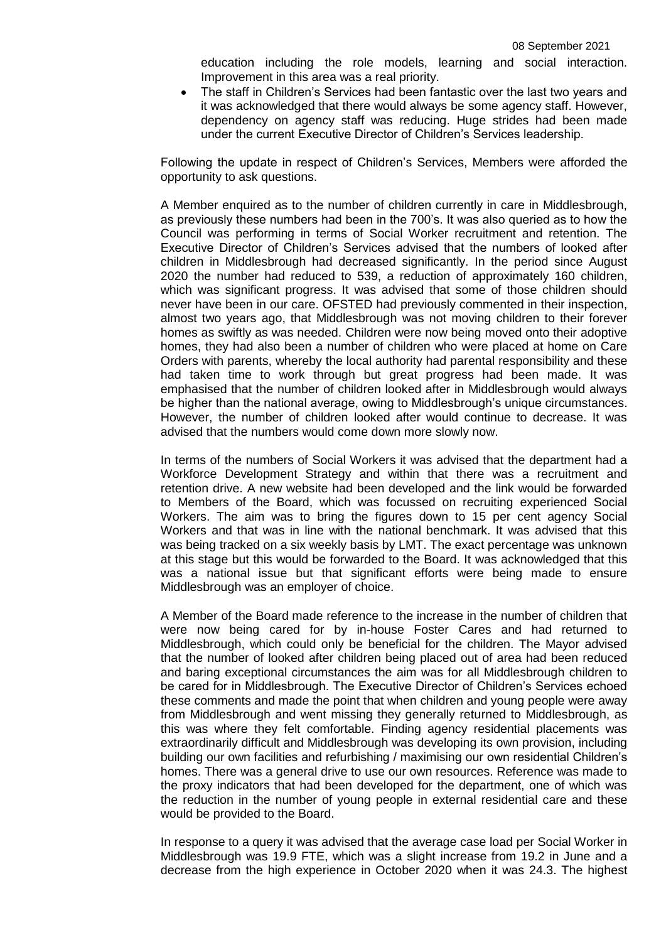education including the role models, learning and social interaction. Improvement in this area was a real priority.

• The staff in Children's Services had been fantastic over the last two years and it was acknowledged that there would always be some agency staff. However, dependency on agency staff was reducing. Huge strides had been made under the current Executive Director of Children's Services leadership.

Following the update in respect of Children's Services, Members were afforded the opportunity to ask questions.

A Member enquired as to the number of children currently in care in Middlesbrough, as previously these numbers had been in the 700's. It was also queried as to how the Council was performing in terms of Social Worker recruitment and retention. The Executive Director of Children's Services advised that the numbers of looked after children in Middlesbrough had decreased significantly. In the period since August 2020 the number had reduced to 539, a reduction of approximately 160 children, which was significant progress. It was advised that some of those children should never have been in our care. OFSTED had previously commented in their inspection, almost two years ago, that Middlesbrough was not moving children to their forever homes as swiftly as was needed. Children were now being moved onto their adoptive homes, they had also been a number of children who were placed at home on Care Orders with parents, whereby the local authority had parental responsibility and these had taken time to work through but great progress had been made. It was emphasised that the number of children looked after in Middlesbrough would always be higher than the national average, owing to Middlesbrough's unique circumstances. However, the number of children looked after would continue to decrease. It was advised that the numbers would come down more slowly now.

In terms of the numbers of Social Workers it was advised that the department had a Workforce Development Strategy and within that there was a recruitment and retention drive. A new website had been developed and the link would be forwarded to Members of the Board, which was focussed on recruiting experienced Social Workers. The aim was to bring the figures down to 15 per cent agency Social Workers and that was in line with the national benchmark. It was advised that this was being tracked on a six weekly basis by LMT. The exact percentage was unknown at this stage but this would be forwarded to the Board. It was acknowledged that this was a national issue but that significant efforts were being made to ensure Middlesbrough was an employer of choice.

A Member of the Board made reference to the increase in the number of children that were now being cared for by in-house Foster Cares and had returned to Middlesbrough, which could only be beneficial for the children. The Mayor advised that the number of looked after children being placed out of area had been reduced and baring exceptional circumstances the aim was for all Middlesbrough children to be cared for in Middlesbrough. The Executive Director of Children's Services echoed these comments and made the point that when children and young people were away from Middlesbrough and went missing they generally returned to Middlesbrough, as this was where they felt comfortable. Finding agency residential placements was extraordinarily difficult and Middlesbrough was developing its own provision, including building our own facilities and refurbishing / maximising our own residential Children's homes. There was a general drive to use our own resources. Reference was made to the proxy indicators that had been developed for the department, one of which was the reduction in the number of young people in external residential care and these would be provided to the Board.

In response to a query it was advised that the average case load per Social Worker in Middlesbrough was 19.9 FTE, which was a slight increase from 19.2 in June and a decrease from the high experience in October 2020 when it was 24.3. The highest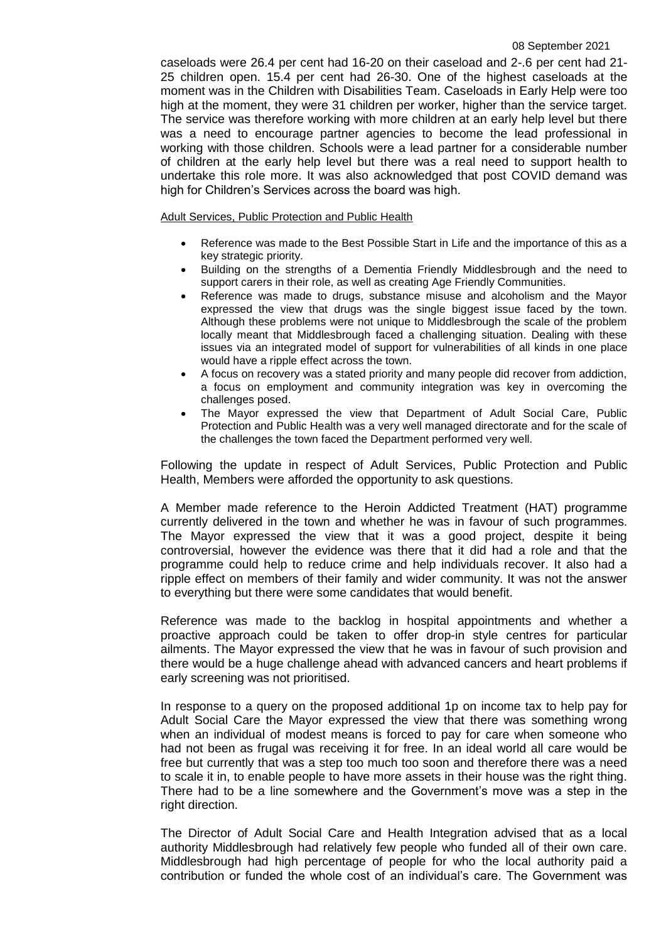caseloads were 26.4 per cent had 16-20 on their caseload and 2-.6 per cent had 21- 25 children open. 15.4 per cent had 26-30. One of the highest caseloads at the moment was in the Children with Disabilities Team. Caseloads in Early Help were too high at the moment, they were 31 children per worker, higher than the service target. The service was therefore working with more children at an early help level but there was a need to encourage partner agencies to become the lead professional in working with those children. Schools were a lead partner for a considerable number of children at the early help level but there was a real need to support health to undertake this role more. It was also acknowledged that post COVID demand was high for Children's Services across the board was high.

Adult Services, Public Protection and Public Health

- Reference was made to the Best Possible Start in Life and the importance of this as a key strategic priority.
- Building on the strengths of a Dementia Friendly Middlesbrough and the need to support carers in their role, as well as creating Age Friendly Communities.
- Reference was made to drugs, substance misuse and alcoholism and the Mayor expressed the view that drugs was the single biggest issue faced by the town. Although these problems were not unique to Middlesbrough the scale of the problem locally meant that Middlesbrough faced a challenging situation. Dealing with these issues via an integrated model of support for vulnerabilities of all kinds in one place would have a ripple effect across the town.
- A focus on recovery was a stated priority and many people did recover from addiction, a focus on employment and community integration was key in overcoming the challenges posed.
- The Mayor expressed the view that Department of Adult Social Care, Public Protection and Public Health was a very well managed directorate and for the scale of the challenges the town faced the Department performed very well.

Following the update in respect of Adult Services, Public Protection and Public Health, Members were afforded the opportunity to ask questions.

A Member made reference to the Heroin Addicted Treatment (HAT) programme currently delivered in the town and whether he was in favour of such programmes. The Mayor expressed the view that it was a good project, despite it being controversial, however the evidence was there that it did had a role and that the programme could help to reduce crime and help individuals recover. It also had a ripple effect on members of their family and wider community. It was not the answer to everything but there were some candidates that would benefit.

Reference was made to the backlog in hospital appointments and whether a proactive approach could be taken to offer drop-in style centres for particular ailments. The Mayor expressed the view that he was in favour of such provision and there would be a huge challenge ahead with advanced cancers and heart problems if early screening was not prioritised.

In response to a query on the proposed additional 1p on income tax to help pay for Adult Social Care the Mayor expressed the view that there was something wrong when an individual of modest means is forced to pay for care when someone who had not been as frugal was receiving it for free. In an ideal world all care would be free but currently that was a step too much too soon and therefore there was a need to scale it in, to enable people to have more assets in their house was the right thing. There had to be a line somewhere and the Government's move was a step in the right direction.

The Director of Adult Social Care and Health Integration advised that as a local authority Middlesbrough had relatively few people who funded all of their own care. Middlesbrough had high percentage of people for who the local authority paid a contribution or funded the whole cost of an individual's care. The Government was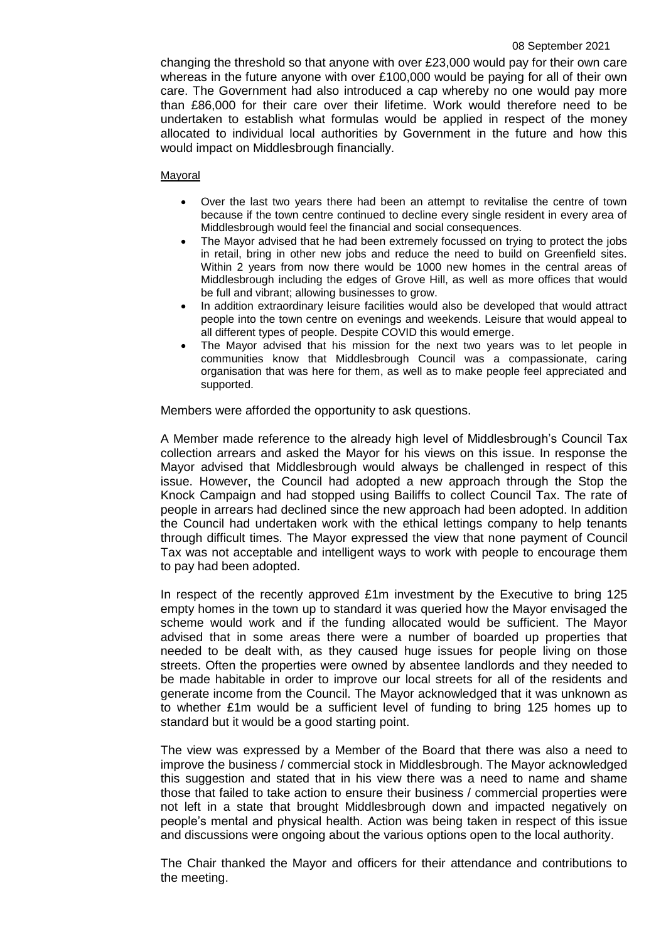changing the threshold so that anyone with over £23,000 would pay for their own care whereas in the future anyone with over £100,000 would be paying for all of their own care. The Government had also introduced a cap whereby no one would pay more than £86,000 for their care over their lifetime. Work would therefore need to be undertaken to establish what formulas would be applied in respect of the money allocated to individual local authorities by Government in the future and how this would impact on Middlesbrough financially.

## Mayoral

- Over the last two years there had been an attempt to revitalise the centre of town because if the town centre continued to decline every single resident in every area of Middlesbrough would feel the financial and social consequences.
- The Mayor advised that he had been extremely focussed on trying to protect the jobs in retail, bring in other new jobs and reduce the need to build on Greenfield sites. Within 2 years from now there would be 1000 new homes in the central areas of Middlesbrough including the edges of Grove Hill, as well as more offices that would be full and vibrant; allowing businesses to grow.
- In addition extraordinary leisure facilities would also be developed that would attract people into the town centre on evenings and weekends. Leisure that would appeal to all different types of people. Despite COVID this would emerge.
- The Mayor advised that his mission for the next two years was to let people in communities know that Middlesbrough Council was a compassionate, caring organisation that was here for them, as well as to make people feel appreciated and supported.

Members were afforded the opportunity to ask questions.

A Member made reference to the already high level of Middlesbrough's Council Tax collection arrears and asked the Mayor for his views on this issue. In response the Mayor advised that Middlesbrough would always be challenged in respect of this issue. However, the Council had adopted a new approach through the Stop the Knock Campaign and had stopped using Bailiffs to collect Council Tax. The rate of people in arrears had declined since the new approach had been adopted. In addition the Council had undertaken work with the ethical lettings company to help tenants through difficult times. The Mayor expressed the view that none payment of Council Tax was not acceptable and intelligent ways to work with people to encourage them to pay had been adopted.

In respect of the recently approved £1m investment by the Executive to bring 125 empty homes in the town up to standard it was queried how the Mayor envisaged the scheme would work and if the funding allocated would be sufficient. The Mayor advised that in some areas there were a number of boarded up properties that needed to be dealt with, as they caused huge issues for people living on those streets. Often the properties were owned by absentee landlords and they needed to be made habitable in order to improve our local streets for all of the residents and generate income from the Council. The Mayor acknowledged that it was unknown as to whether £1m would be a sufficient level of funding to bring 125 homes up to standard but it would be a good starting point.

The view was expressed by a Member of the Board that there was also a need to improve the business / commercial stock in Middlesbrough. The Mayor acknowledged this suggestion and stated that in his view there was a need to name and shame those that failed to take action to ensure their business / commercial properties were not left in a state that brought Middlesbrough down and impacted negatively on people's mental and physical health. Action was being taken in respect of this issue and discussions were ongoing about the various options open to the local authority.

The Chair thanked the Mayor and officers for their attendance and contributions to the meeting.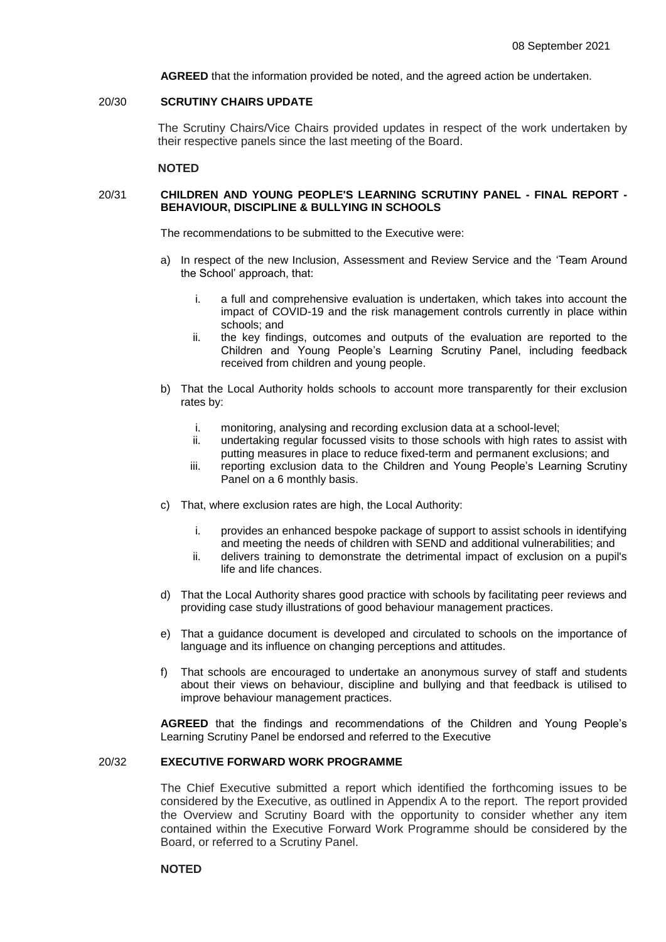**AGREED** that the information provided be noted, and the agreed action be undertaken.

### 20/30 **SCRUTINY CHAIRS UPDATE**

The Scrutiny Chairs/Vice Chairs provided updates in respect of the work undertaken by their respective panels since the last meeting of the Board.

### **NOTED**

### 20/31 **CHILDREN AND YOUNG PEOPLE'S LEARNING SCRUTINY PANEL - FINAL REPORT - BEHAVIOUR, DISCIPLINE & BULLYING IN SCHOOLS**

The recommendations to be submitted to the Executive were:

- a) In respect of the new Inclusion, Assessment and Review Service and the 'Team Around the School' approach, that:
	- i. a full and comprehensive evaluation is undertaken, which takes into account the impact of COVID-19 and the risk management controls currently in place within schools; and
	- ii. the key findings, outcomes and outputs of the evaluation are reported to the Children and Young People's Learning Scrutiny Panel, including feedback received from children and young people.
- b) That the Local Authority holds schools to account more transparently for their exclusion rates by:
	- i. monitoring, analysing and recording exclusion data at a school-level;
	- ii. undertaking regular focussed visits to those schools with high rates to assist with putting measures in place to reduce fixed-term and permanent exclusions; and
	- iii. reporting exclusion data to the Children and Young People's Learning Scrutiny Panel on a 6 monthly basis.
- c) That, where exclusion rates are high, the Local Authority:
	- i. provides an enhanced bespoke package of support to assist schools in identifying and meeting the needs of children with SEND and additional vulnerabilities; and
	- ii. delivers training to demonstrate the detrimental impact of exclusion on a pupil's life and life chances.
- d) That the Local Authority shares good practice with schools by facilitating peer reviews and providing case study illustrations of good behaviour management practices.
- e) That a guidance document is developed and circulated to schools on the importance of language and its influence on changing perceptions and attitudes.
- f) That schools are encouraged to undertake an anonymous survey of staff and students about their views on behaviour, discipline and bullying and that feedback is utilised to improve behaviour management practices.

**AGREED** that the findings and recommendations of the Children and Young People's Learning Scrutiny Panel be endorsed and referred to the Executive

#### 20/32 **EXECUTIVE FORWARD WORK PROGRAMME**

The Chief Executive submitted a report which identified the forthcoming issues to be considered by the Executive, as outlined in Appendix A to the report. The report provided the Overview and Scrutiny Board with the opportunity to consider whether any item contained within the Executive Forward Work Programme should be considered by the Board, or referred to a Scrutiny Panel.

### **NOTED**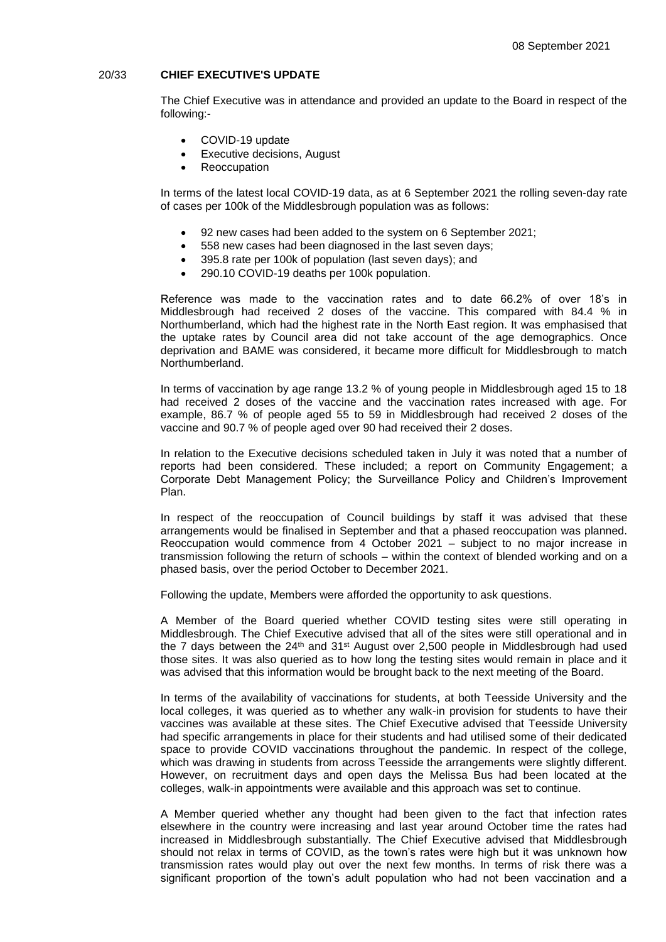### 20/33 **CHIEF EXECUTIVE'S UPDATE**

The Chief Executive was in attendance and provided an update to the Board in respect of the following:-

- COVID-19 update
- Executive decisions, August
- Reoccupation

In terms of the latest local COVID-19 data, as at 6 September 2021 the rolling seven-day rate of cases per 100k of the Middlesbrough population was as follows:

- 92 new cases had been added to the system on 6 September 2021;
- 558 new cases had been diagnosed in the last seven days;
- 395.8 rate per 100k of population (last seven days); and
- 290.10 COVID-19 deaths per 100k population.

Reference was made to the vaccination rates and to date 66.2% of over 18's in Middlesbrough had received 2 doses of the vaccine. This compared with 84.4 % in Northumberland, which had the highest rate in the North East region. It was emphasised that the uptake rates by Council area did not take account of the age demographics. Once deprivation and BAME was considered, it became more difficult for Middlesbrough to match Northumberland.

In terms of vaccination by age range 13.2 % of young people in Middlesbrough aged 15 to 18 had received 2 doses of the vaccine and the vaccination rates increased with age. For example, 86.7 % of people aged 55 to 59 in Middlesbrough had received 2 doses of the vaccine and 90.7 % of people aged over 90 had received their 2 doses.

In relation to the Executive decisions scheduled taken in July it was noted that a number of reports had been considered. These included; a report on Community Engagement; a Corporate Debt Management Policy; the Surveillance Policy and Children's Improvement Plan.

In respect of the reoccupation of Council buildings by staff it was advised that these arrangements would be finalised in September and that a phased reoccupation was planned. Reoccupation would commence from 4 October 2021 – subject to no major increase in transmission following the return of schools – within the context of blended working and on a phased basis, over the period October to December 2021.

Following the update, Members were afforded the opportunity to ask questions.

A Member of the Board queried whether COVID testing sites were still operating in Middlesbrough. The Chief Executive advised that all of the sites were still operational and in the 7 days between the  $24<sup>th</sup>$  and  $31<sup>st</sup>$  August over 2,500 people in Middlesbrough had used those sites. It was also queried as to how long the testing sites would remain in place and it was advised that this information would be brought back to the next meeting of the Board.

In terms of the availability of vaccinations for students, at both Teesside University and the local colleges, it was queried as to whether any walk-in provision for students to have their vaccines was available at these sites. The Chief Executive advised that Teesside University had specific arrangements in place for their students and had utilised some of their dedicated space to provide COVID vaccinations throughout the pandemic. In respect of the college, which was drawing in students from across Teesside the arrangements were slightly different. However, on recruitment days and open days the Melissa Bus had been located at the colleges, walk-in appointments were available and this approach was set to continue.

A Member queried whether any thought had been given to the fact that infection rates elsewhere in the country were increasing and last year around October time the rates had increased in Middlesbrough substantially. The Chief Executive advised that Middlesbrough should not relax in terms of COVID, as the town's rates were high but it was unknown how transmission rates would play out over the next few months. In terms of risk there was a significant proportion of the town's adult population who had not been vaccination and a